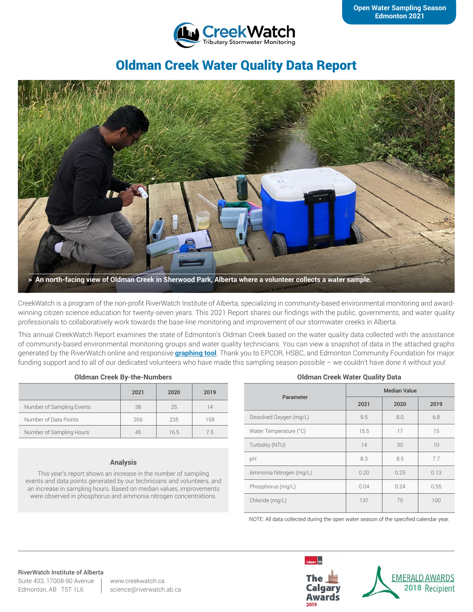

# Oldman Creek Water Quality Data Report



CreekWatch is a program of the non-profit RiverWatch Institute of Alberta, specializing in community-based environmental monitoring and awardwinning citizen science education for twenty-seven years. This 2021 Report shares our findings with the public, governments, and water quality professionals to collaboratively work towards the base-line monitoring and improvement of our stormwater creeks in Alberta.

This annual CreekWatch Report examines the state of Edmonton's Oldman Creek based on the water quality data collected with the assistance of community-based environmental monitoring groups and water quality technicians. You can view a snapshot of data in the attached graphs generated by the RiverWatch online and responsive **[graphing tool](http://www.riverwatch.ab.ca/index.php/science/data)**. Thank you to EPCOR, HSBC, and Edmonton Community Foundation for major funding support and to all of our dedicated volunteers who have made this sampling season possible – we couldn't have done it without you!

|                           | 2021 | 2020 | 2019 |
|---------------------------|------|------|------|
| Number of Sampling Events | 38   | 25   | 14   |
| Number of Data Points     | 266  | 235  | 158  |
| Number of Sampling Hours  | 45   | 16.5 | 75   |

#### **Analysis**

This year's report shows an increase in the number of sampling events and data points generated by our technicians and volunteers, and an increase in sampling hours. Based on median values, improvements were observed in phosphorus and ammonia nitrogen concentrations.

#### **Oldman Creek Water Quality Data**

| Parameter               | <b>Median Value</b> |      |      |
|-------------------------|---------------------|------|------|
|                         | 2021                | 2020 | 2019 |
| Dissolved Oxygen (mg/L) | 9.5                 | 8.0  | 6.8  |
| Water Temperature (°C)  | 15.5                | 17   | 15   |
| Turbidity (NTU)         | 14                  | 30   | 10   |
| pH                      | 8.3                 | 8.5  | 7.7  |
| Ammonia Nitrogen (mg/L) | 0.20                | 0.25 | 0.13 |
| Phosphorus (mg/L)       | 0.04                | 0.24 | 0.55 |
| Chloride (mg/L)         | 137                 | 75   | 100  |

NOTE: All data collected during the open water season of the specified calendar year.

#### RiverWatch Institute of Alberta

Suite 433, 17008-90 Avenue Edmonton, AB T5T 1L6

www.creekwatch.ca science@riverwatch.ab.ca